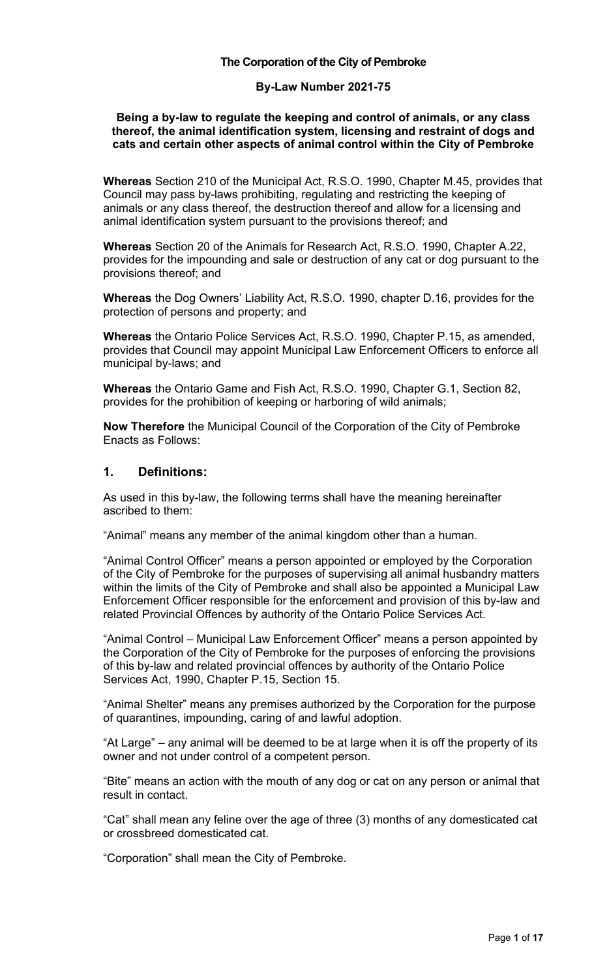#### **The Corporation of the City of Pembroke**

#### **By-Law Number 2021-75**

#### **Being a by-law to regulate the keeping and control of animals, or any class thereof, the animal identification system, licensing and restraint of dogs and cats and certain other aspects of animal control within the City of Pembroke**

**Whereas** Section 210 of the Municipal Act, R.S.O. 1990, Chapter M.45, provides that Council may pass by-laws prohibiting, regulating and restricting the keeping of animals or any class thereof, the destruction thereof and allow for a licensing and animal identification system pursuant to the provisions thereof; and

**Whereas** Section 20 of the Animals for Research Act, R.S.O. 1990, Chapter A.22, provides for the impounding and sale or destruction of any cat or dog pursuant to the provisions thereof; and

**Whereas** the Dog Owners' Liability Act, R.S.O. 1990, chapter D.16, provides for the protection of persons and property; and

**Whereas** the Ontario Police Services Act, R.S.O. 1990, Chapter P.15, as amended, provides that Council may appoint Municipal Law Enforcement Officers to enforce all municipal by-laws; and

**Whereas** the Ontario Game and Fish Act, R.S.O. 1990, Chapter G.1, Section 82, provides for the prohibition of keeping or harboring of wild animals;

**Now Therefore** the Municipal Council of the Corporation of the City of Pembroke Enacts as Follows:

#### **1. Definitions:**

As used in this by-law, the following terms shall have the meaning hereinafter ascribed to them:

"Animal" means any member of the animal kingdom other than a human.

"Animal Control Officer" means a person appointed or employed by the Corporation of the City of Pembroke for the purposes of supervising all animal husbandry matters within the limits of the City of Pembroke and shall also be appointed a Municipal Law Enforcement Officer responsible for the enforcement and provision of this by-law and related Provincial Offences by authority of the Ontario Police Services Act.

"Animal Control – Municipal Law Enforcement Officer" means a person appointed by the Corporation of the City of Pembroke for the purposes of enforcing the provisions of this by-law and related provincial offences by authority of the Ontario Police Services Act, 1990, Chapter P.15, Section 15.

"Animal Shelter" means any premises authorized by the Corporation for the purpose of quarantines, impounding, caring of and lawful adoption.

"At Large" – any animal will be deemed to be at large when it is off the property of its owner and not under control of a competent person.

"Bite" means an action with the mouth of any dog or cat on any person or animal that result in contact.

"Cat" shall mean any feline over the age of three (3) months of any domesticated cat or crossbreed domesticated cat.

"Corporation" shall mean the City of Pembroke.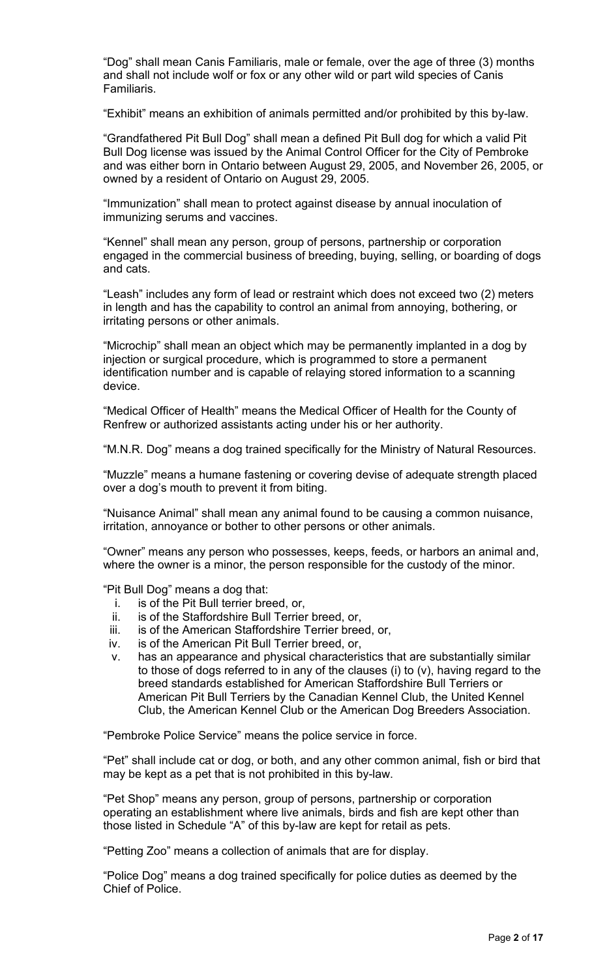"Dog" shall mean Canis Familiaris, male or female, over the age of three (3) months and shall not include wolf or fox or any other wild or part wild species of Canis Familiaris.

"Exhibit" means an exhibition of animals permitted and/or prohibited by this by-law.

"Grandfathered Pit Bull Dog" shall mean a defined Pit Bull dog for which a valid Pit Bull Dog license was issued by the Animal Control Officer for the City of Pembroke and was either born in Ontario between August 29, 2005, and November 26, 2005, or owned by a resident of Ontario on August 29, 2005.

"Immunization" shall mean to protect against disease by annual inoculation of immunizing serums and vaccines.

"Kennel" shall mean any person, group of persons, partnership or corporation engaged in the commercial business of breeding, buying, selling, or boarding of dogs and cats.

"Leash" includes any form of lead or restraint which does not exceed two (2) meters in length and has the capability to control an animal from annoying, bothering, or irritating persons or other animals.

"Microchip" shall mean an object which may be permanently implanted in a dog by injection or surgical procedure, which is programmed to store a permanent identification number and is capable of relaying stored information to a scanning device.

"Medical Officer of Health" means the Medical Officer of Health for the County of Renfrew or authorized assistants acting under his or her authority.

"M.N.R. Dog" means a dog trained specifically for the Ministry of Natural Resources.

"Muzzle" means a humane fastening or covering devise of adequate strength placed over a dog's mouth to prevent it from biting.

"Nuisance Animal" shall mean any animal found to be causing a common nuisance, irritation, annoyance or bother to other persons or other animals.

"Owner" means any person who possesses, keeps, feeds, or harbors an animal and, where the owner is a minor, the person responsible for the custody of the minor.

"Pit Bull Dog" means a dog that:

- i. is of the Pit Bull terrier breed, or,
- ii. is of the Staffordshire Bull Terrier breed, or,
- iii. is of the American Staffordshire Terrier breed, or,
- iv. is of the American Pit Bull Terrier breed, or,
- v. has an appearance and physical characteristics that are substantially similar to those of dogs referred to in any of the clauses (i) to (v), having regard to the breed standards established for American Staffordshire Bull Terriers or American Pit Bull Terriers by the Canadian Kennel Club, the United Kennel Club, the American Kennel Club or the American Dog Breeders Association.

"Pembroke Police Service" means the police service in force.

"Pet" shall include cat or dog, or both, and any other common animal, fish or bird that may be kept as a pet that is not prohibited in this by-law.

"Pet Shop" means any person, group of persons, partnership or corporation operating an establishment where live animals, birds and fish are kept other than those listed in Schedule "A" of this by-law are kept for retail as pets.

"Petting Zoo" means a collection of animals that are for display.

"Police Dog" means a dog trained specifically for police duties as deemed by the Chief of Police.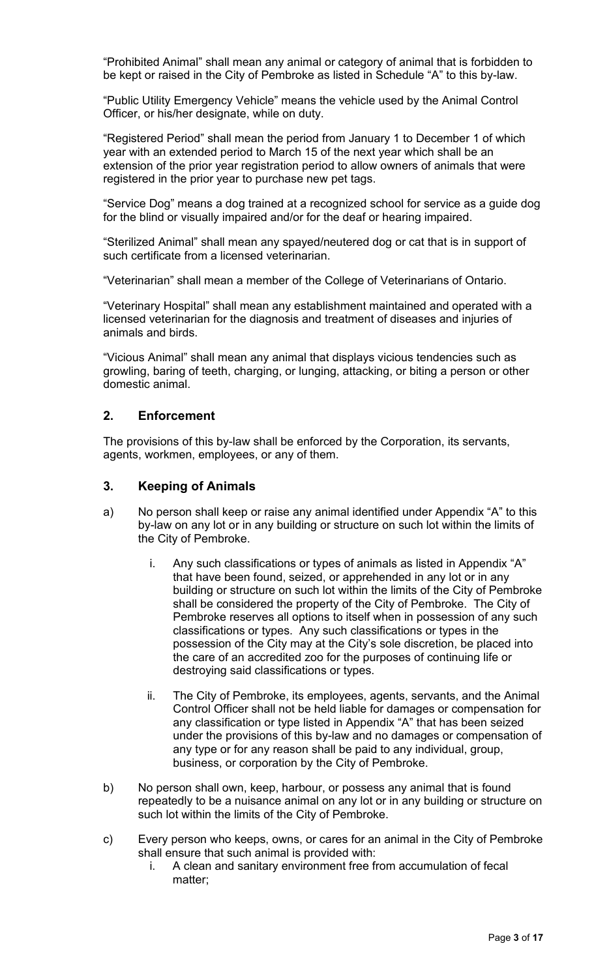"Prohibited Animal" shall mean any animal or category of animal that is forbidden to be kept or raised in the City of Pembroke as listed in Schedule "A" to this by-law.

"Public Utility Emergency Vehicle" means the vehicle used by the Animal Control Officer, or his/her designate, while on duty.

"Registered Period" shall mean the period from January 1 to December 1 of which year with an extended period to March 15 of the next year which shall be an extension of the prior year registration period to allow owners of animals that were registered in the prior year to purchase new pet tags.

"Service Dog" means a dog trained at a recognized school for service as a guide dog for the blind or visually impaired and/or for the deaf or hearing impaired.

"Sterilized Animal" shall mean any spayed/neutered dog or cat that is in support of such certificate from a licensed veterinarian.

"Veterinarian" shall mean a member of the College of Veterinarians of Ontario.

"Veterinary Hospital" shall mean any establishment maintained and operated with a licensed veterinarian for the diagnosis and treatment of diseases and injuries of animals and birds.

"Vicious Animal" shall mean any animal that displays vicious tendencies such as growling, baring of teeth, charging, or lunging, attacking, or biting a person or other domestic animal.

## **2. Enforcement**

The provisions of this by-law shall be enforced by the Corporation, its servants, agents, workmen, employees, or any of them.

#### **3. Keeping of Animals**

- a) No person shall keep or raise any animal identified under Appendix "A" to this by-law on any lot or in any building or structure on such lot within the limits of the City of Pembroke.
	- i. Any such classifications or types of animals as listed in Appendix "A" that have been found, seized, or apprehended in any lot or in any building or structure on such lot within the limits of the City of Pembroke shall be considered the property of the City of Pembroke. The City of Pembroke reserves all options to itself when in possession of any such classifications or types. Any such classifications or types in the possession of the City may at the City's sole discretion, be placed into the care of an accredited zoo for the purposes of continuing life or destroying said classifications or types.
	- ii. The City of Pembroke, its employees, agents, servants, and the Animal Control Officer shall not be held liable for damages or compensation for any classification or type listed in Appendix "A" that has been seized under the provisions of this by-law and no damages or compensation of any type or for any reason shall be paid to any individual, group, business, or corporation by the City of Pembroke.
- b) No person shall own, keep, harbour, or possess any animal that is found repeatedly to be a nuisance animal on any lot or in any building or structure on such lot within the limits of the City of Pembroke.
- c) Every person who keeps, owns, or cares for an animal in the City of Pembroke shall ensure that such animal is provided with:
	- i. A clean and sanitary environment free from accumulation of fecal matter;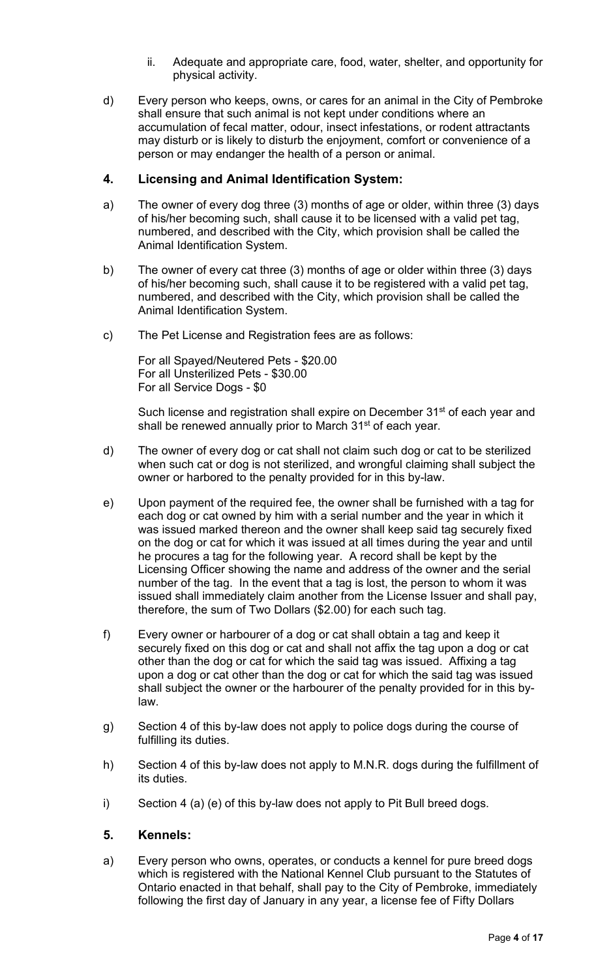- ii. Adequate and appropriate care, food, water, shelter, and opportunity for physical activity.
- d) Every person who keeps, owns, or cares for an animal in the City of Pembroke shall ensure that such animal is not kept under conditions where an accumulation of fecal matter, odour, insect infestations, or rodent attractants may disturb or is likely to disturb the enjoyment, comfort or convenience of a person or may endanger the health of a person or animal.

## **4. Licensing and Animal Identification System:**

- a) The owner of every dog three (3) months of age or older, within three (3) days of his/her becoming such, shall cause it to be licensed with a valid pet tag, numbered, and described with the City, which provision shall be called the Animal Identification System.
- b) The owner of every cat three (3) months of age or older within three (3) days of his/her becoming such, shall cause it to be registered with a valid pet tag, numbered, and described with the City, which provision shall be called the Animal Identification System.
- c) The Pet License and Registration fees are as follows:

For all Spayed/Neutered Pets - \$20.00 For all Unsterilized Pets - \$30.00 For all Service Dogs - \$0

Such license and registration shall expire on December 31<sup>st</sup> of each year and shall be renewed annually prior to March 31<sup>st</sup> of each year.

- d) The owner of every dog or cat shall not claim such dog or cat to be sterilized when such cat or dog is not sterilized, and wrongful claiming shall subject the owner or harbored to the penalty provided for in this by-law.
- e) Upon payment of the required fee, the owner shall be furnished with a tag for each dog or cat owned by him with a serial number and the year in which it was issued marked thereon and the owner shall keep said tag securely fixed on the dog or cat for which it was issued at all times during the year and until he procures a tag for the following year. A record shall be kept by the Licensing Officer showing the name and address of the owner and the serial number of the tag. In the event that a tag is lost, the person to whom it was issued shall immediately claim another from the License Issuer and shall pay, therefore, the sum of Two Dollars (\$2.00) for each such tag.
- f) Every owner or harbourer of a dog or cat shall obtain a tag and keep it securely fixed on this dog or cat and shall not affix the tag upon a dog or cat other than the dog or cat for which the said tag was issued. Affixing a tag upon a dog or cat other than the dog or cat for which the said tag was issued shall subject the owner or the harbourer of the penalty provided for in this bylaw.
- g) Section 4 of this by-law does not apply to police dogs during the course of fulfilling its duties.
- h) Section 4 of this by-law does not apply to M.N.R. dogs during the fulfillment of its duties.
- i) Section 4 (a) (e) of this by-law does not apply to Pit Bull breed dogs.

#### **5. Kennels:**

a) Every person who owns, operates, or conducts a kennel for pure breed dogs which is registered with the National Kennel Club pursuant to the Statutes of Ontario enacted in that behalf, shall pay to the City of Pembroke, immediately following the first day of January in any year, a license fee of Fifty Dollars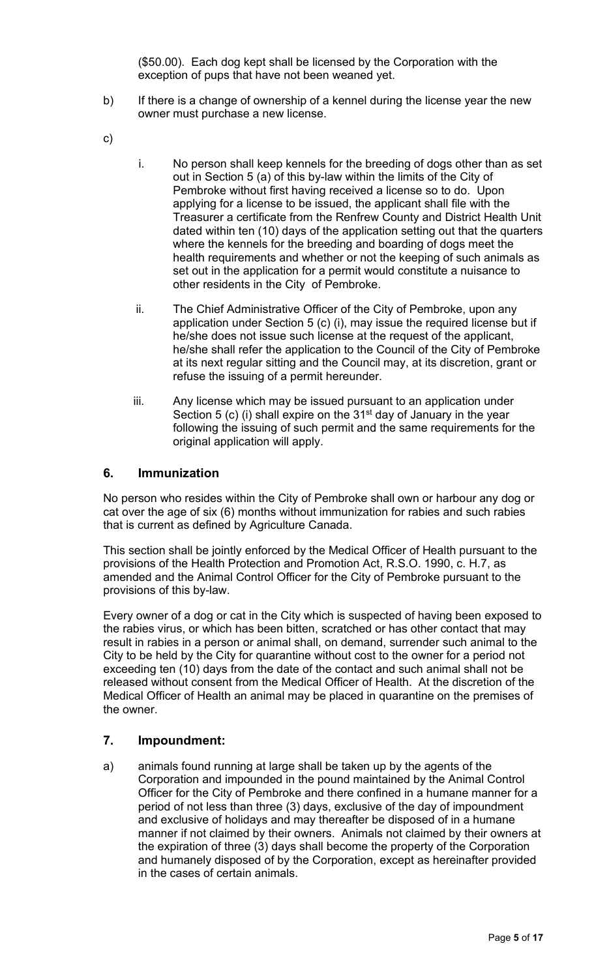(\$50.00). Each dog kept shall be licensed by the Corporation with the exception of pups that have not been weaned yet.

- b) If there is a change of ownership of a kennel during the license year the new owner must purchase a new license.
- c)
- i. No person shall keep kennels for the breeding of dogs other than as set out in Section 5 (a) of this by-law within the limits of the City of Pembroke without first having received a license so to do. Upon applying for a license to be issued, the applicant shall file with the Treasurer a certificate from the Renfrew County and District Health Unit dated within ten (10) days of the application setting out that the quarters where the kennels for the breeding and boarding of dogs meet the health requirements and whether or not the keeping of such animals as set out in the application for a permit would constitute a nuisance to other residents in the City of Pembroke.
- ii. The Chief Administrative Officer of the City of Pembroke, upon any application under Section 5 (c) (i), may issue the required license but if he/she does not issue such license at the request of the applicant, he/she shall refer the application to the Council of the City of Pembroke at its next regular sitting and the Council may, at its discretion, grant or refuse the issuing of a permit hereunder.
- iii. Any license which may be issued pursuant to an application under Section 5 (c) (i) shall expire on the  $31<sup>st</sup>$  day of January in the year following the issuing of such permit and the same requirements for the original application will apply.

#### **6. Immunization**

No person who resides within the City of Pembroke shall own or harbour any dog or cat over the age of six (6) months without immunization for rabies and such rabies that is current as defined by Agriculture Canada.

This section shall be jointly enforced by the Medical Officer of Health pursuant to the provisions of the Health Protection and Promotion Act, R.S.O. 1990, c. H.7, as amended and the Animal Control Officer for the City of Pembroke pursuant to the provisions of this by-law.

Every owner of a dog or cat in the City which is suspected of having been exposed to the rabies virus, or which has been bitten, scratched or has other contact that may result in rabies in a person or animal shall, on demand, surrender such animal to the City to be held by the City for quarantine without cost to the owner for a period not exceeding ten (10) days from the date of the contact and such animal shall not be released without consent from the Medical Officer of Health. At the discretion of the Medical Officer of Health an animal may be placed in quarantine on the premises of the owner.

#### **7. Impoundment:**

a) animals found running at large shall be taken up by the agents of the Corporation and impounded in the pound maintained by the Animal Control Officer for the City of Pembroke and there confined in a humane manner for a period of not less than three (3) days, exclusive of the day of impoundment and exclusive of holidays and may thereafter be disposed of in a humane manner if not claimed by their owners. Animals not claimed by their owners at the expiration of three (3) days shall become the property of the Corporation and humanely disposed of by the Corporation, except as hereinafter provided in the cases of certain animals.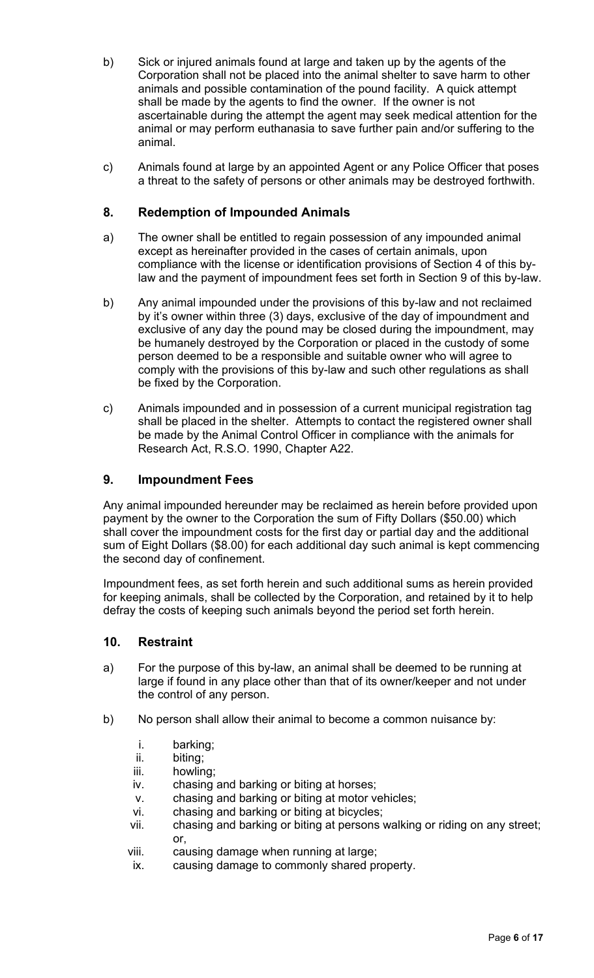- b) Sick or injured animals found at large and taken up by the agents of the Corporation shall not be placed into the animal shelter to save harm to other animals and possible contamination of the pound facility. A quick attempt shall be made by the agents to find the owner. If the owner is not ascertainable during the attempt the agent may seek medical attention for the animal or may perform euthanasia to save further pain and/or suffering to the animal.
- c) Animals found at large by an appointed Agent or any Police Officer that poses a threat to the safety of persons or other animals may be destroyed forthwith.

## **8. Redemption of Impounded Animals**

- a) The owner shall be entitled to regain possession of any impounded animal except as hereinafter provided in the cases of certain animals, upon compliance with the license or identification provisions of Section 4 of this bylaw and the payment of impoundment fees set forth in Section 9 of this by-law.
- b) Any animal impounded under the provisions of this by-law and not reclaimed by it's owner within three (3) days, exclusive of the day of impoundment and exclusive of any day the pound may be closed during the impoundment, may be humanely destroyed by the Corporation or placed in the custody of some person deemed to be a responsible and suitable owner who will agree to comply with the provisions of this by-law and such other regulations as shall be fixed by the Corporation.
- c) Animals impounded and in possession of a current municipal registration tag shall be placed in the shelter. Attempts to contact the registered owner shall be made by the Animal Control Officer in compliance with the animals for Research Act, R.S.O. 1990, Chapter A22.

## **9. Impoundment Fees**

Any animal impounded hereunder may be reclaimed as herein before provided upon payment by the owner to the Corporation the sum of Fifty Dollars (\$50.00) which shall cover the impoundment costs for the first day or partial day and the additional sum of Eight Dollars (\$8.00) for each additional day such animal is kept commencing the second day of confinement.

Impoundment fees, as set forth herein and such additional sums as herein provided for keeping animals, shall be collected by the Corporation, and retained by it to help defray the costs of keeping such animals beyond the period set forth herein.

#### **10. Restraint**

- a) For the purpose of this by-law, an animal shall be deemed to be running at large if found in any place other than that of its owner/keeper and not under the control of any person.
- b) No person shall allow their animal to become a common nuisance by:
	- i. barking;<br>ii. biting:
	- biting;
	- iii. howling;
	- iv. chasing and barking or biting at horses;
	- v. chasing and barking or biting at motor vehicles;
	- vi. chasing and barking or biting at bicycles;
	- vii. chasing and barking or biting at persons walking or riding on any street; or,
	- viii. causing damage when running at large;
	- ix. causing damage to commonly shared property.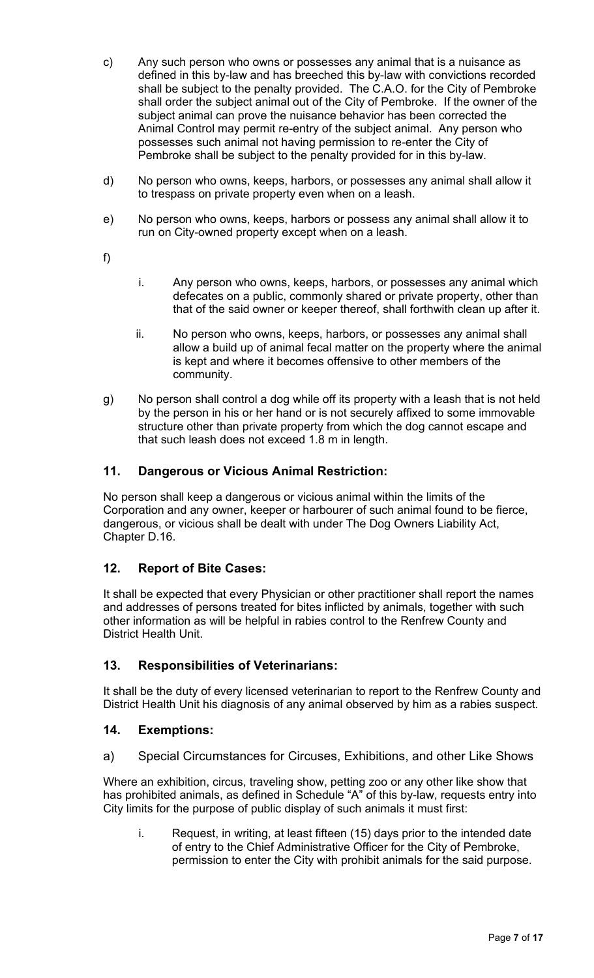- c) Any such person who owns or possesses any animal that is a nuisance as defined in this by-law and has breeched this by-law with convictions recorded shall be subject to the penalty provided. The C.A.O. for the City of Pembroke shall order the subject animal out of the City of Pembroke. If the owner of the subject animal can prove the nuisance behavior has been corrected the Animal Control may permit re-entry of the subject animal. Any person who possesses such animal not having permission to re-enter the City of Pembroke shall be subject to the penalty provided for in this by-law.
- d) No person who owns, keeps, harbors, or possesses any animal shall allow it to trespass on private property even when on a leash.
- e) No person who owns, keeps, harbors or possess any animal shall allow it to run on City-owned property except when on a leash.
- f)
- i. Any person who owns, keeps, harbors, or possesses any animal which defecates on a public, commonly shared or private property, other than that of the said owner or keeper thereof, shall forthwith clean up after it.
- ii. No person who owns, keeps, harbors, or possesses any animal shall allow a build up of animal fecal matter on the property where the animal is kept and where it becomes offensive to other members of the community.
- g) No person shall control a dog while off its property with a leash that is not held by the person in his or her hand or is not securely affixed to some immovable structure other than private property from which the dog cannot escape and that such leash does not exceed 1.8 m in length.

# **11. Dangerous or Vicious Animal Restriction:**

No person shall keep a dangerous or vicious animal within the limits of the Corporation and any owner, keeper or harbourer of such animal found to be fierce, dangerous, or vicious shall be dealt with under The Dog Owners Liability Act, Chapter D.16.

## **12. Report of Bite Cases:**

It shall be expected that every Physician or other practitioner shall report the names and addresses of persons treated for bites inflicted by animals, together with such other information as will be helpful in rabies control to the Renfrew County and District Health Unit.

## **13. Responsibilities of Veterinarians:**

It shall be the duty of every licensed veterinarian to report to the Renfrew County and District Health Unit his diagnosis of any animal observed by him as a rabies suspect.

## **14. Exemptions:**

a) Special Circumstances for Circuses, Exhibitions, and other Like Shows

Where an exhibition, circus, traveling show, petting zoo or any other like show that has prohibited animals, as defined in Schedule "A" of this by-law, requests entry into City limits for the purpose of public display of such animals it must first:

i. Request, in writing, at least fifteen (15) days prior to the intended date of entry to the Chief Administrative Officer for the City of Pembroke, permission to enter the City with prohibit animals for the said purpose.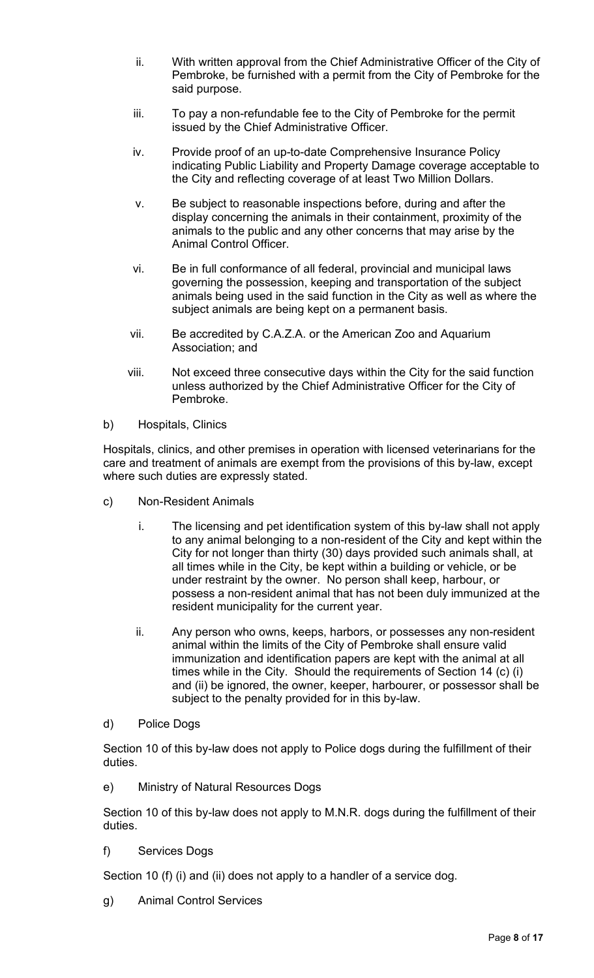- ii. With written approval from the Chief Administrative Officer of the City of Pembroke, be furnished with a permit from the City of Pembroke for the said purpose.
- iii. To pay a non-refundable fee to the City of Pembroke for the permit issued by the Chief Administrative Officer.
- iv. Provide proof of an up-to-date Comprehensive Insurance Policy indicating Public Liability and Property Damage coverage acceptable to the City and reflecting coverage of at least Two Million Dollars.
- v. Be subject to reasonable inspections before, during and after the display concerning the animals in their containment, proximity of the animals to the public and any other concerns that may arise by the Animal Control Officer.
- vi. Be in full conformance of all federal, provincial and municipal laws governing the possession, keeping and transportation of the subject animals being used in the said function in the City as well as where the subject animals are being kept on a permanent basis.
- vii. Be accredited by C.A.Z.A. or the American Zoo and Aquarium Association; and
- viii. Not exceed three consecutive days within the City for the said function unless authorized by the Chief Administrative Officer for the City of Pembroke.
- b) Hospitals, Clinics

Hospitals, clinics, and other premises in operation with licensed veterinarians for the care and treatment of animals are exempt from the provisions of this by-law, except where such duties are expressly stated.

- c) Non-Resident Animals
	- i. The licensing and pet identification system of this by-law shall not apply to any animal belonging to a non-resident of the City and kept within the City for not longer than thirty (30) days provided such animals shall, at all times while in the City, be kept within a building or vehicle, or be under restraint by the owner. No person shall keep, harbour, or possess a non-resident animal that has not been duly immunized at the resident municipality for the current year.
	- ii. Any person who owns, keeps, harbors, or possesses any non-resident animal within the limits of the City of Pembroke shall ensure valid immunization and identification papers are kept with the animal at all times while in the City. Should the requirements of Section 14 (c) (i) and (ii) be ignored, the owner, keeper, harbourer, or possessor shall be subject to the penalty provided for in this by-law.
- d) Police Dogs

Section 10 of this by-law does not apply to Police dogs during the fulfillment of their duties.

e) Ministry of Natural Resources Dogs

Section 10 of this by-law does not apply to M.N.R. dogs during the fulfillment of their duties.

f) Services Dogs

Section 10 (f) (i) and (ii) does not apply to a handler of a service dog.

g) Animal Control Services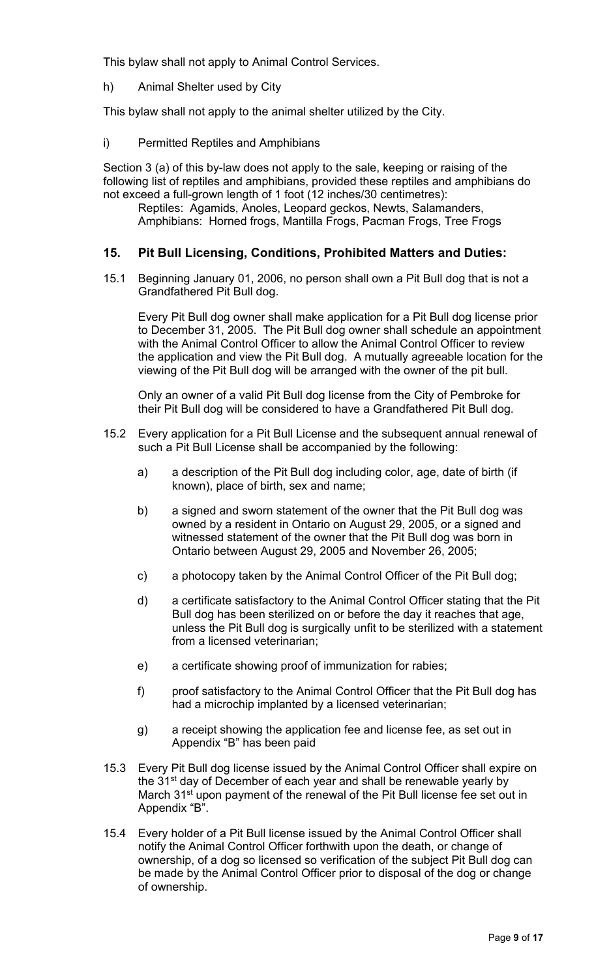This bylaw shall not apply to Animal Control Services.

h) Animal Shelter used by City

This bylaw shall not apply to the animal shelter utilized by the City.

i) Permitted Reptiles and Amphibians

Section 3 (a) of this by-law does not apply to the sale, keeping or raising of the following list of reptiles and amphibians, provided these reptiles and amphibians do not exceed a full-grown length of 1 foot (12 inches/30 centimetres):

Reptiles: Agamids, Anoles, Leopard geckos, Newts, Salamanders, Amphibians: Horned frogs, Mantilla Frogs, Pacman Frogs, Tree Frogs

#### **15. Pit Bull Licensing, Conditions, Prohibited Matters and Duties:**

15.1 Beginning January 01, 2006, no person shall own a Pit Bull dog that is not a Grandfathered Pit Bull dog.

Every Pit Bull dog owner shall make application for a Pit Bull dog license prior to December 31, 2005. The Pit Bull dog owner shall schedule an appointment with the Animal Control Officer to allow the Animal Control Officer to review the application and view the Pit Bull dog. A mutually agreeable location for the viewing of the Pit Bull dog will be arranged with the owner of the pit bull.

Only an owner of a valid Pit Bull dog license from the City of Pembroke for their Pit Bull dog will be considered to have a Grandfathered Pit Bull dog.

- 15.2 Every application for a Pit Bull License and the subsequent annual renewal of such a Pit Bull License shall be accompanied by the following:
	- a) a description of the Pit Bull dog including color, age, date of birth (if known), place of birth, sex and name;
	- b) a signed and sworn statement of the owner that the Pit Bull dog was owned by a resident in Ontario on August 29, 2005, or a signed and witnessed statement of the owner that the Pit Bull dog was born in Ontario between August 29, 2005 and November 26, 2005;
	- c) a photocopy taken by the Animal Control Officer of the Pit Bull dog;
	- d) a certificate satisfactory to the Animal Control Officer stating that the Pit Bull dog has been sterilized on or before the day it reaches that age, unless the Pit Bull dog is surgically unfit to be sterilized with a statement from a licensed veterinarian;
	- e) a certificate showing proof of immunization for rabies;
	- f) proof satisfactory to the Animal Control Officer that the Pit Bull dog has had a microchip implanted by a licensed veterinarian;
	- g) a receipt showing the application fee and license fee, as set out in Appendix "B" has been paid
- 15.3 Every Pit Bull dog license issued by the Animal Control Officer shall expire on the 31<sup>st</sup> day of December of each year and shall be renewable yearly by March 31<sup>st</sup> upon payment of the renewal of the Pit Bull license fee set out in Appendix "B".
- 15.4 Every holder of a Pit Bull license issued by the Animal Control Officer shall notify the Animal Control Officer forthwith upon the death, or change of ownership, of a dog so licensed so verification of the subject Pit Bull dog can be made by the Animal Control Officer prior to disposal of the dog or change of ownership.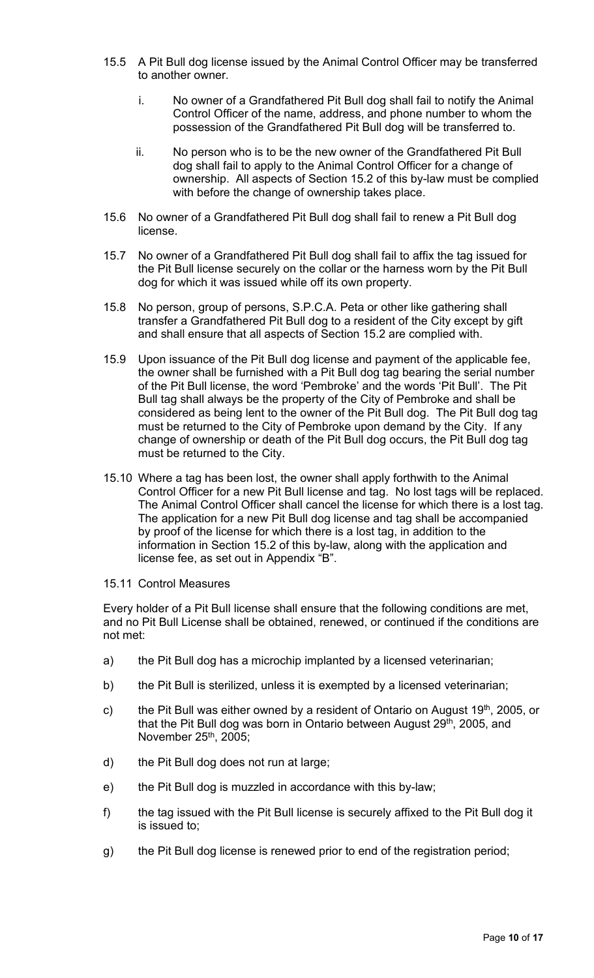- 15.5 A Pit Bull dog license issued by the Animal Control Officer may be transferred to another owner.
	- i. No owner of a Grandfathered Pit Bull dog shall fail to notify the Animal Control Officer of the name, address, and phone number to whom the possession of the Grandfathered Pit Bull dog will be transferred to.
	- ii. No person who is to be the new owner of the Grandfathered Pit Bull dog shall fail to apply to the Animal Control Officer for a change of ownership. All aspects of Section 15.2 of this by-law must be complied with before the change of ownership takes place.
- 15.6 No owner of a Grandfathered Pit Bull dog shall fail to renew a Pit Bull dog license.
- 15.7 No owner of a Grandfathered Pit Bull dog shall fail to affix the tag issued for the Pit Bull license securely on the collar or the harness worn by the Pit Bull dog for which it was issued while off its own property.
- 15.8 No person, group of persons, S.P.C.A. Peta or other like gathering shall transfer a Grandfathered Pit Bull dog to a resident of the City except by gift and shall ensure that all aspects of Section 15.2 are complied with.
- 15.9 Upon issuance of the Pit Bull dog license and payment of the applicable fee, the owner shall be furnished with a Pit Bull dog tag bearing the serial number of the Pit Bull license, the word 'Pembroke' and the words 'Pit Bull'. The Pit Bull tag shall always be the property of the City of Pembroke and shall be considered as being lent to the owner of the Pit Bull dog. The Pit Bull dog tag must be returned to the City of Pembroke upon demand by the City. If any change of ownership or death of the Pit Bull dog occurs, the Pit Bull dog tag must be returned to the City.
- 15.10 Where a tag has been lost, the owner shall apply forthwith to the Animal Control Officer for a new Pit Bull license and tag. No lost tags will be replaced. The Animal Control Officer shall cancel the license for which there is a lost tag. The application for a new Pit Bull dog license and tag shall be accompanied by proof of the license for which there is a lost tag, in addition to the information in Section 15.2 of this by-law, along with the application and license fee, as set out in Appendix "B".
- 15.11 Control Measures

Every holder of a Pit Bull license shall ensure that the following conditions are met, and no Pit Bull License shall be obtained, renewed, or continued if the conditions are not met:

- a) the Pit Bull dog has a microchip implanted by a licensed veterinarian;
- b) the Pit Bull is sterilized, unless it is exempted by a licensed veterinarian;
- c) the Pit Bull was either owned by a resident of Ontario on August 19<sup>th</sup>, 2005, or that the Pit Bull dog was born in Ontario between August 29<sup>th</sup>, 2005, and November 25th, 2005;
- d) the Pit Bull dog does not run at large;
- e) the Pit Bull dog is muzzled in accordance with this by-law;
- f) the tag issued with the Pit Bull license is securely affixed to the Pit Bull dog it is issued to;
- g) the Pit Bull dog license is renewed prior to end of the registration period;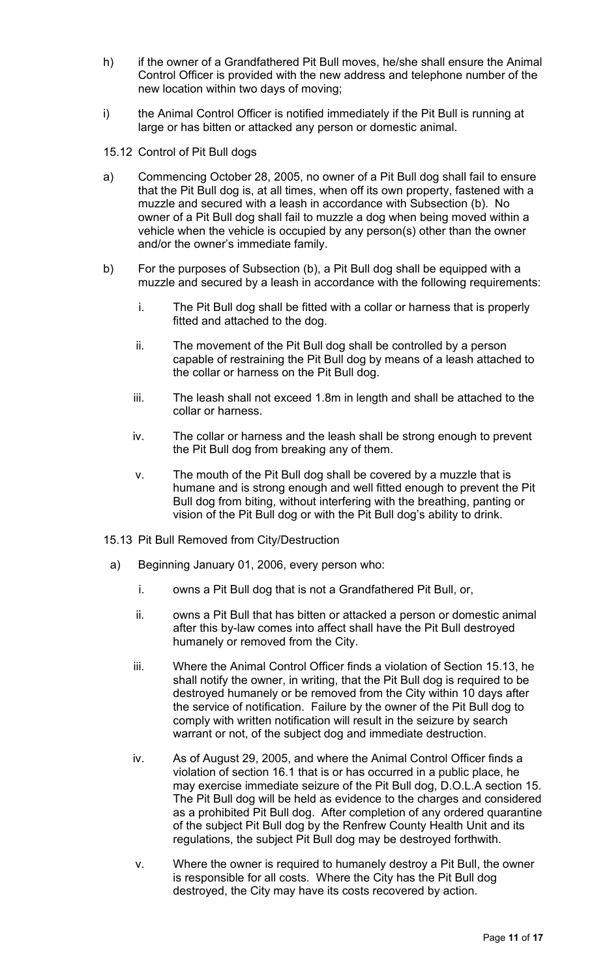- h) if the owner of a Grandfathered Pit Bull moves, he/she shall ensure the Animal Control Officer is provided with the new address and telephone number of the new location within two days of moving;
- i) the Animal Control Officer is notified immediately if the Pit Bull is running at large or has bitten or attacked any person or domestic animal.
- 15.12 Control of Pit Bull dogs
- a) Commencing October 28, 2005, no owner of a Pit Bull dog shall fail to ensure that the Pit Bull dog is, at all times, when off its own property, fastened with a muzzle and secured with a leash in accordance with Subsection (b). No owner of a Pit Bull dog shall fail to muzzle a dog when being moved within a vehicle when the vehicle is occupied by any person(s) other than the owner and/or the owner's immediate family.
- b) For the purposes of Subsection (b), a Pit Bull dog shall be equipped with a muzzle and secured by a leash in accordance with the following requirements:
	- i. The Pit Bull dog shall be fitted with a collar or harness that is properly fitted and attached to the dog.
	- ii. The movement of the Pit Bull dog shall be controlled by a person capable of restraining the Pit Bull dog by means of a leash attached to the collar or harness on the Pit Bull dog.
	- iii. The leash shall not exceed 1.8m in length and shall be attached to the collar or harness.
	- iv. The collar or harness and the leash shall be strong enough to prevent the Pit Bull dog from breaking any of them.
	- v. The mouth of the Pit Bull dog shall be covered by a muzzle that is humane and is strong enough and well fitted enough to prevent the Pit Bull dog from biting, without interfering with the breathing, panting or vision of the Pit Bull dog or with the Pit Bull dog's ability to drink.
- 15.13 Pit Bull Removed from City/Destruction
	- a) Beginning January 01, 2006, every person who:
		- i. owns a Pit Bull dog that is not a Grandfathered Pit Bull, or,
		- ii. owns a Pit Bull that has bitten or attacked a person or domestic animal after this by-law comes into affect shall have the Pit Bull destroyed humanely or removed from the City.
		- iii. Where the Animal Control Officer finds a violation of Section 15.13, he shall notify the owner, in writing, that the Pit Bull dog is required to be destroyed humanely or be removed from the City within 10 days after the service of notification. Failure by the owner of the Pit Bull dog to comply with written notification will result in the seizure by search warrant or not, of the subject dog and immediate destruction.
		- iv. As of August 29, 2005, and where the Animal Control Officer finds a violation of section 16.1 that is or has occurred in a public place, he may exercise immediate seizure of the Pit Bull dog, D.O.L.A section 15. The Pit Bull dog will be held as evidence to the charges and considered as a prohibited Pit Bull dog. After completion of any ordered quarantine of the subject Pit Bull dog by the Renfrew County Health Unit and its regulations, the subject Pit Bull dog may be destroyed forthwith.
		- v. Where the owner is required to humanely destroy a Pit Bull, the owner is responsible for all costs. Where the City has the Pit Bull dog destroyed, the City may have its costs recovered by action.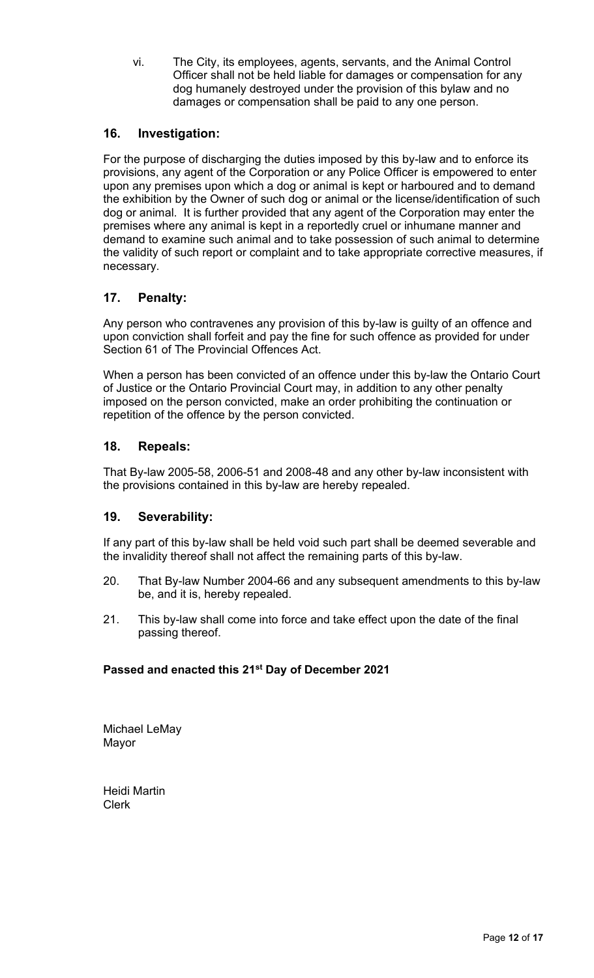vi. The City, its employees, agents, servants, and the Animal Control Officer shall not be held liable for damages or compensation for any dog humanely destroyed under the provision of this bylaw and no damages or compensation shall be paid to any one person.

# **16. Investigation:**

For the purpose of discharging the duties imposed by this by-law and to enforce its provisions, any agent of the Corporation or any Police Officer is empowered to enter upon any premises upon which a dog or animal is kept or harboured and to demand the exhibition by the Owner of such dog or animal or the license/identification of such dog or animal. It is further provided that any agent of the Corporation may enter the premises where any animal is kept in a reportedly cruel or inhumane manner and demand to examine such animal and to take possession of such animal to determine the validity of such report or complaint and to take appropriate corrective measures, if necessary.

# **17. Penalty:**

Any person who contravenes any provision of this by-law is guilty of an offence and upon conviction shall forfeit and pay the fine for such offence as provided for under Section 61 of The Provincial Offences Act.

When a person has been convicted of an offence under this by-law the Ontario Court of Justice or the Ontario Provincial Court may, in addition to any other penalty imposed on the person convicted, make an order prohibiting the continuation or repetition of the offence by the person convicted.

## **18. Repeals:**

That By-law 2005-58, 2006-51 and 2008-48 and any other by-law inconsistent with the provisions contained in this by-law are hereby repealed.

## **19. Severability:**

If any part of this by-law shall be held void such part shall be deemed severable and the invalidity thereof shall not affect the remaining parts of this by-law.

- 20. That By-law Number 2004-66 and any subsequent amendments to this by-law be, and it is, hereby repealed.
- 21. This by-law shall come into force and take effect upon the date of the final passing thereof.

## **Passed and enacted this 21st Day of December 2021**

Michael LeMay Mayor

Heidi Martin Clerk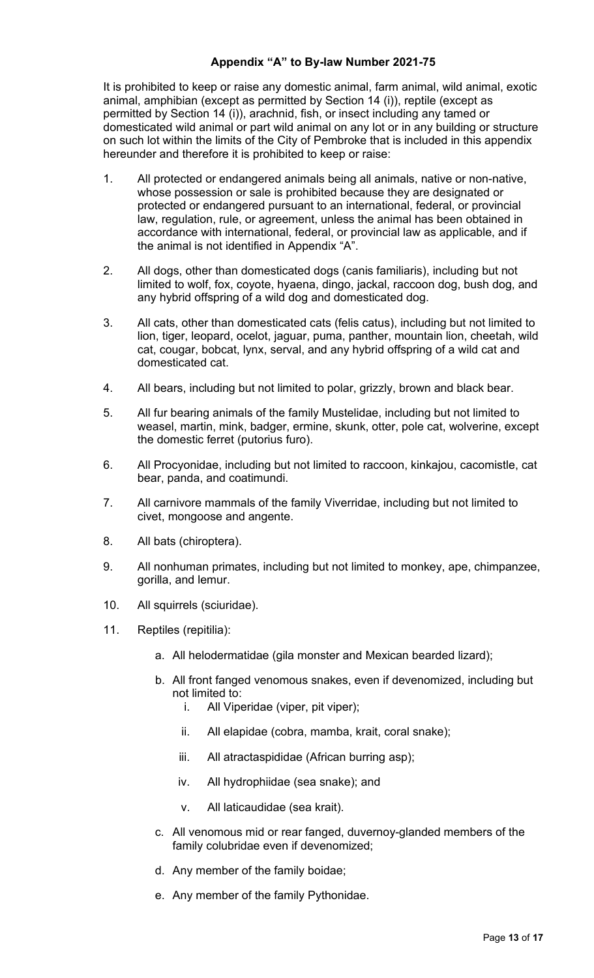#### **Appendix "A" to By-law Number 2021-75**

It is prohibited to keep or raise any domestic animal, farm animal, wild animal, exotic animal, amphibian (except as permitted by Section 14 (i)), reptile (except as permitted by Section 14 (i)), arachnid, fish, or insect including any tamed or domesticated wild animal or part wild animal on any lot or in any building or structure on such lot within the limits of the City of Pembroke that is included in this appendix hereunder and therefore it is prohibited to keep or raise:

- 1. All protected or endangered animals being all animals, native or non-native, whose possession or sale is prohibited because they are designated or protected or endangered pursuant to an international, federal, or provincial law, regulation, rule, or agreement, unless the animal has been obtained in accordance with international, federal, or provincial law as applicable, and if the animal is not identified in Appendix "A".
- 2. All dogs, other than domesticated dogs (canis familiaris), including but not limited to wolf, fox, coyote, hyaena, dingo, jackal, raccoon dog, bush dog, and any hybrid offspring of a wild dog and domesticated dog.
- 3. All cats, other than domesticated cats (felis catus), including but not limited to lion, tiger, leopard, ocelot, jaguar, puma, panther, mountain lion, cheetah, wild cat, cougar, bobcat, lynx, serval, and any hybrid offspring of a wild cat and domesticated cat.
- 4. All bears, including but not limited to polar, grizzly, brown and black bear.
- 5. All fur bearing animals of the family Mustelidae, including but not limited to weasel, martin, mink, badger, ermine, skunk, otter, pole cat, wolverine, except the domestic ferret (putorius furo).
- 6. All Procyonidae, including but not limited to raccoon, kinkajou, cacomistle, cat bear, panda, and coatimundi.
- 7. All carnivore mammals of the family Viverridae, including but not limited to civet, mongoose and angente.
- 8. All bats (chiroptera).
- 9. All nonhuman primates, including but not limited to monkey, ape, chimpanzee, gorilla, and lemur.
- 10. All squirrels (sciuridae).
- 11. Reptiles (repitilia):
	- a. All helodermatidae (gila monster and Mexican bearded lizard);
	- b. All front fanged venomous snakes, even if devenomized, including but not limited to:
		- i. All Viperidae (viper, pit viper);
		- ii. All elapidae (cobra, mamba, krait, coral snake);
		- iii. All atractaspididae (African burring asp);
		- iv. All hydrophiidae (sea snake); and
		- v. All laticaudidae (sea krait).
	- c. All venomous mid or rear fanged, duvernoy-glanded members of the family colubridae even if devenomized;
	- d. Any member of the family boidae;
	- e. Any member of the family Pythonidae.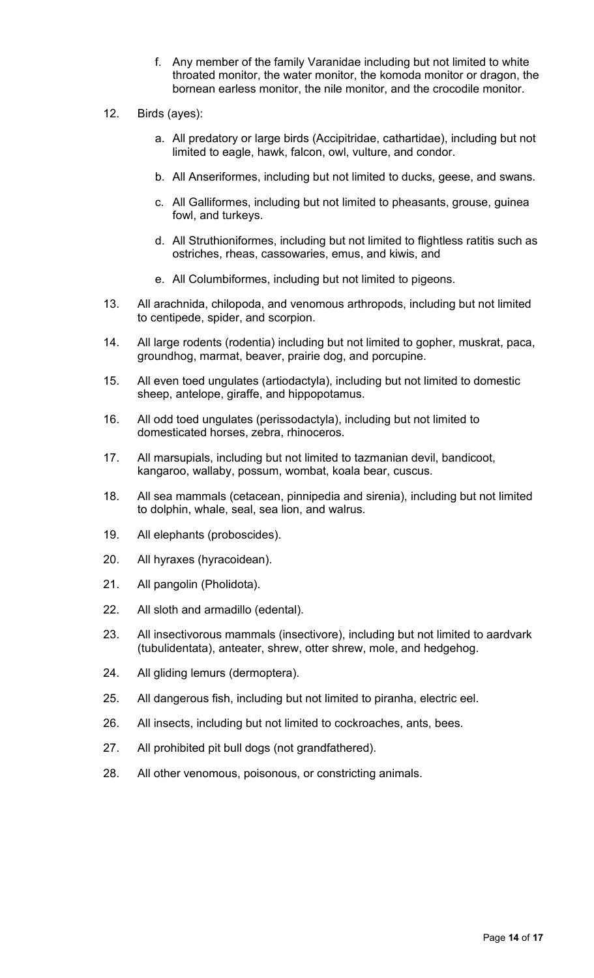- f. Any member of the family Varanidae including but not limited to white throated monitor, the water monitor, the komoda monitor or dragon, the bornean earless monitor, the nile monitor, and the crocodile monitor.
- 12. Birds (ayes):
	- a. All predatory or large birds (Accipitridae, cathartidae), including but not limited to eagle, hawk, falcon, owl, vulture, and condor.
	- b. All Anseriformes, including but not limited to ducks, geese, and swans.
	- c. All Galliformes, including but not limited to pheasants, grouse, guinea fowl, and turkeys.
	- d. All Struthioniformes, including but not limited to flightless ratitis such as ostriches, rheas, cassowaries, emus, and kiwis, and
	- e. All Columbiformes, including but not limited to pigeons.
- 13. All arachnida, chilopoda, and venomous arthropods, including but not limited to centipede, spider, and scorpion.
- 14. All large rodents (rodentia) including but not limited to gopher, muskrat, paca, groundhog, marmat, beaver, prairie dog, and porcupine.
- 15. All even toed ungulates (artiodactyla), including but not limited to domestic sheep, antelope, giraffe, and hippopotamus.
- 16. All odd toed ungulates (perissodactyla), including but not limited to domesticated horses, zebra, rhinoceros.
- 17. All marsupials, including but not limited to tazmanian devil, bandicoot, kangaroo, wallaby, possum, wombat, koala bear, cuscus.
- 18. All sea mammals (cetacean, pinnipedia and sirenia), including but not limited to dolphin, whale, seal, sea lion, and walrus.
- 19. All elephants (proboscides).
- 20. All hyraxes (hyracoidean).
- 21. All pangolin (Pholidota).
- 22. All sloth and armadillo (edental).
- 23. All insectivorous mammals (insectivore), including but not limited to aardvark (tubulidentata), anteater, shrew, otter shrew, mole, and hedgehog.
- 24. All gliding lemurs (dermoptera).
- 25. All dangerous fish, including but not limited to piranha, electric eel.
- 26. All insects, including but not limited to cockroaches, ants, bees.
- 27. All prohibited pit bull dogs (not grandfathered).
- 28. All other venomous, poisonous, or constricting animals.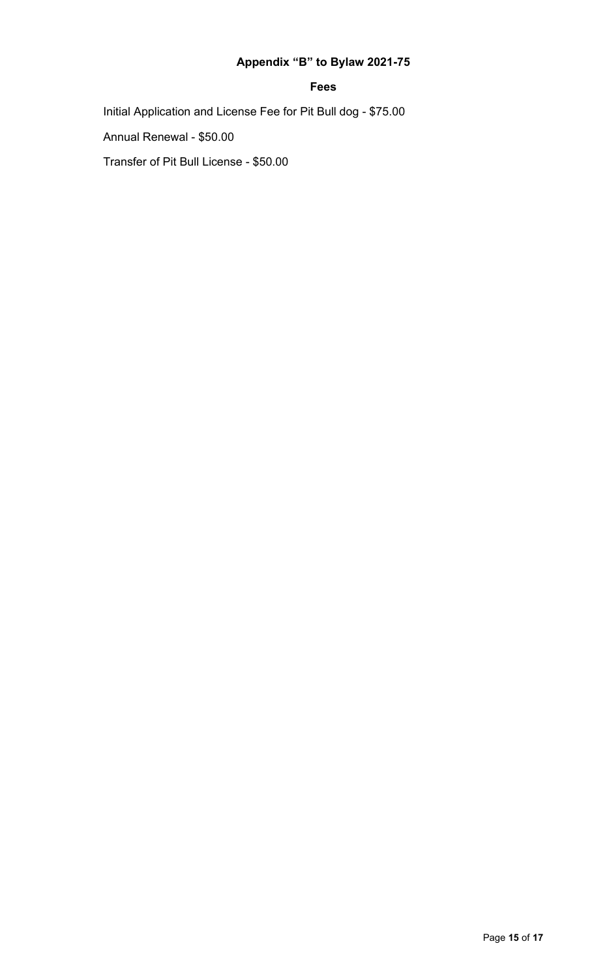# **Appendix "B" to Bylaw 2021-75**

#### **Fees**

Initial Application and License Fee for Pit Bull dog - \$75.00

Annual Renewal - \$50.00

Transfer of Pit Bull License - \$50.00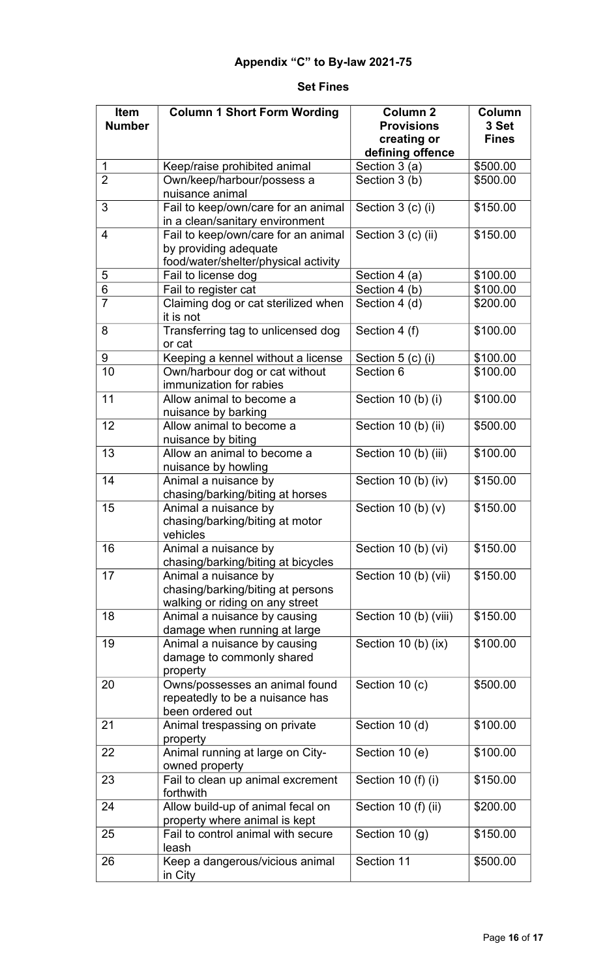#### **Set Fines**

| Item           | <b>Column 1 Short Form Wording</b>                                                           | <b>Column 2</b>                  | Column                |
|----------------|----------------------------------------------------------------------------------------------|----------------------------------|-----------------------|
| <b>Number</b>  |                                                                                              | <b>Provisions</b><br>creating or | 3 Set<br><b>Fines</b> |
|                |                                                                                              | defining offence                 |                       |
| $\mathbf 1$    | Keep/raise prohibited animal                                                                 | Section 3 (a)                    | \$500.00              |
| $\overline{2}$ | Own/keep/harbour/possess a                                                                   | Section 3 (b)                    | \$500.00              |
|                | nuisance animal                                                                              |                                  |                       |
| 3              | Fail to keep/own/care for an animal<br>in a clean/sanitary environment                       | Section 3 (c) (i)                | \$150.00              |
| $\overline{4}$ | Fail to keep/own/care for an animal<br>by providing adequate                                 | Section 3 (c) (ii)               | \$150.00              |
|                | food/water/shelter/physical activity                                                         |                                  |                       |
| 5              | Fail to license dog                                                                          | Section 4 (a)                    | \$100.00              |
| 6              | Fail to register cat                                                                         | Section 4 (b)                    | \$100.00              |
| $\overline{7}$ | Claiming dog or cat sterilized when<br>it is not                                             | Section 4 (d)                    | \$200.00              |
| 8              | Transferring tag to unlicensed dog<br>or cat                                                 | Section 4 (f)                    | \$100.00              |
| 9              | Keeping a kennel without a license                                                           | Section 5 (c) (i)                | \$100.00              |
| 10             | Own/harbour dog or cat without<br>immunization for rabies                                    | Section 6                        | \$100.00              |
| 11             | Allow animal to become a<br>nuisance by barking                                              | Section 10 (b) (i)               | \$100.00              |
| 12             | Allow animal to become a<br>nuisance by biting                                               | Section 10 (b) (ii)              | \$500.00              |
| 13             | Allow an animal to become a<br>nuisance by howling                                           | Section 10 (b) (iii)             | \$100.00              |
| 14             | Animal a nuisance by<br>chasing/barking/biting at horses                                     | Section 10 (b) (iv)              | \$150.00              |
| 15             | Animal a nuisance by<br>chasing/barking/biting at motor<br>vehicles                          | Section 10 (b) $(v)$             | \$150.00              |
| 16             | Animal a nuisance by<br>chasing/barking/biting at bicycles                                   | Section 10 (b) (vi)              | \$150.00              |
| 17             | Animal a nuisance by<br>chasing/barking/biting at persons<br>walking or riding on any street | Section 10 (b) (vii)             | \$150.00              |
| 18             | Animal a nuisance by causing<br>damage when running at large                                 | Section 10 (b) (viii)            | \$150.00              |
| 19             | Animal a nuisance by causing<br>damage to commonly shared<br>property                        | Section 10 (b) (ix)              | \$100.00              |
| 20             | Owns/possesses an animal found<br>repeatedly to be a nuisance has<br>been ordered out        | Section 10 (c)                   | \$500.00              |
| 21             | Animal trespassing on private<br>property                                                    | Section 10 (d)                   | \$100.00              |
| 22             | Animal running at large on City-<br>owned property                                           | Section 10 (e)                   | \$100.00              |
| 23             | Fail to clean up animal excrement<br>forthwith                                               | Section 10 (f) (i)               | \$150.00              |
| 24             | Allow build-up of animal fecal on<br>property where animal is kept                           | Section 10 (f) (ii)              | \$200.00              |
| 25             | Fail to control animal with secure<br>leash                                                  | Section 10 (g)                   | \$150.00              |
| 26             | Keep a dangerous/vicious animal<br>in City                                                   | Section 11                       | \$500.00              |